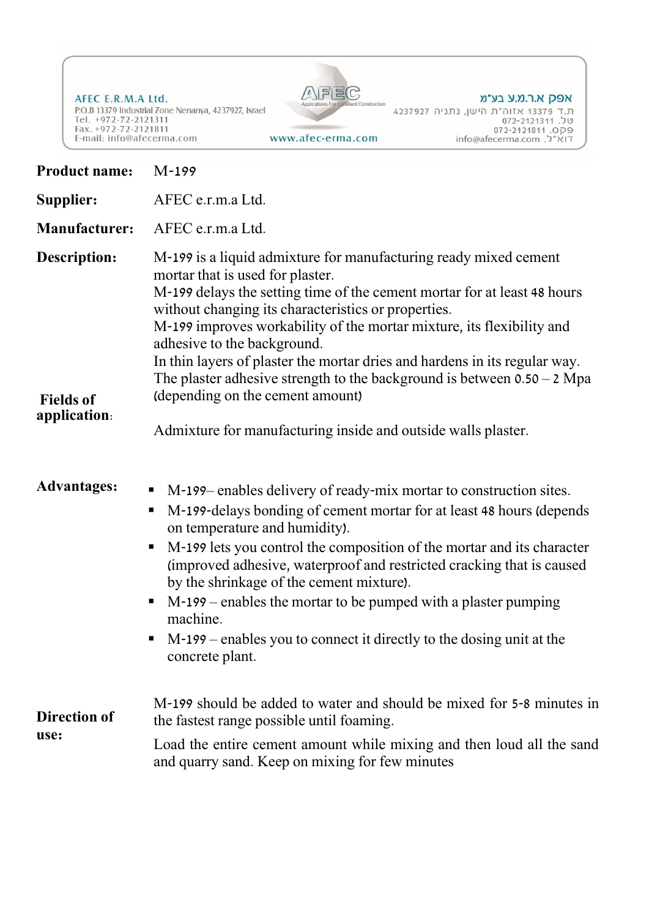AFEC E.R.M.A Ltd. P.O.B 13379 Industrial Zone Nenanya, 4237927, Israel Tel. +972-72-2121311<br>Fax. +972-72-2121311<br>E-mail: info@afecerma.com www.afec-erma.com



| <b>Product name:</b>                             | $M-199$                                                                                                                                                                                                                                                                                                                                                                                                                                                                                                                                                                                                                 |
|--------------------------------------------------|-------------------------------------------------------------------------------------------------------------------------------------------------------------------------------------------------------------------------------------------------------------------------------------------------------------------------------------------------------------------------------------------------------------------------------------------------------------------------------------------------------------------------------------------------------------------------------------------------------------------------|
| Supplier:                                        | AFEC e.r.m.a Ltd.                                                                                                                                                                                                                                                                                                                                                                                                                                                                                                                                                                                                       |
| <b>Manufacturer:</b>                             | AFEC e.r.m.a Ltd.                                                                                                                                                                                                                                                                                                                                                                                                                                                                                                                                                                                                       |
| Description:<br><b>Fields of</b><br>application: | M-199 is a liquid admixture for manufacturing ready mixed cement<br>mortar that is used for plaster.<br>M-199 delays the setting time of the cement mortar for at least 48 hours<br>without changing its characteristics or properties.<br>M-199 improves workability of the mortar mixture, its flexibility and<br>adhesive to the background.<br>In thin layers of plaster the mortar dries and hardens in its regular way.<br>The plaster adhesive strength to the background is between $0.50 - 2 \text{ Mpa}$<br>(depending on the cement amount)<br>Admixture for manufacturing inside and outside walls plaster. |
| <b>Advantages:</b>                               | M-199–enables delivery of ready-mix mortar to construction sites.<br>$\blacksquare$<br>M-199-delays bonding of cement mortar for at least 48 hours (depends<br>п<br>on temperature and humidity).<br>M-199 lets you control the composition of the mortar and its character<br>п<br>(improved adhesive, waterproof and restricted cracking that is caused<br>by the shrinkage of the cement mixture).<br>M-199 – enables the mortar to be pumped with a plaster pumping<br>п<br>machine.<br>M-199 – enables you to connect it directly to the dosing unit at the<br>п<br>concrete plant.                                |
| <b>Direction of</b><br>use:                      | M-199 should be added to water and should be mixed for 5-8 minutes in<br>the fastest range possible until foaming.<br>Load the entire cement amount while mixing and then loud all the sand<br>and quarry sand. Keep on mixing for few minutes                                                                                                                                                                                                                                                                                                                                                                          |